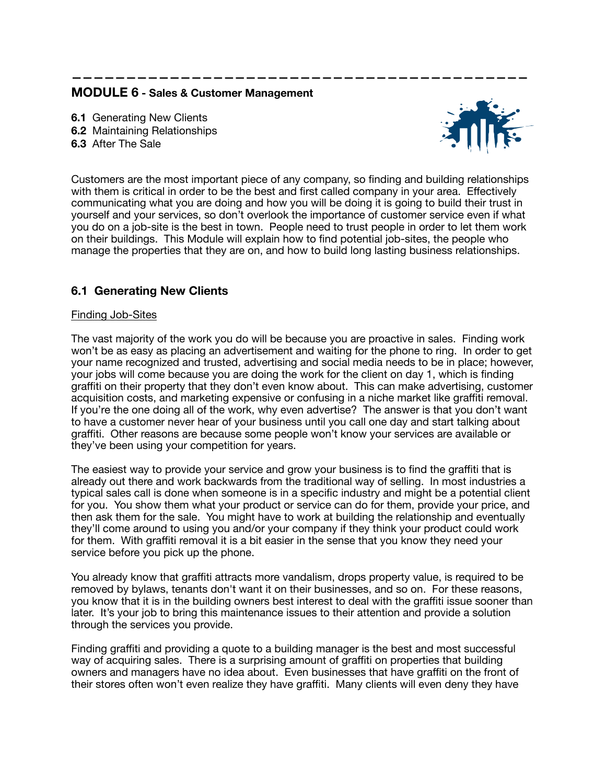# **MODULE 6 - Sales & Customer Management**

**6.1** Generating New Clients **6.2** Maintaining Relationships **6.3** After The Sale



Customers are the most important piece of any company, so finding and building relationships with them is critical in order to be the best and first called company in your area. Effectively communicating what you are doing and how you will be doing it is going to build their trust in yourself and your services, so don't overlook the importance of customer service even if what you do on a job-site is the best in town. People need to trust people in order to let them work on their buildings. This Module will explain how to find potential job-sites, the people who manage the properties that they are on, and how to build long lasting business relationships.

**——————————————————————————————————————————**

# **6.1 Generating New Clients**

## Finding Job-Sites

The vast majority of the work you do will be because you are proactive in sales. Finding work won't be as easy as placing an advertisement and waiting for the phone to ring. In order to get your name recognized and trusted, advertising and social media needs to be in place; however, your jobs will come because you are doing the work for the client on day 1, which is finding graffiti on their property that they don't even know about. This can make advertising, customer acquisition costs, and marketing expensive or confusing in a niche market like graffiti removal. If you're the one doing all of the work, why even advertise? The answer is that you don't want to have a customer never hear of your business until you call one day and start talking about graffiti. Other reasons are because some people won't know your services are available or they've been using your competition for years.

The easiest way to provide your service and grow your business is to find the graffiti that is already out there and work backwards from the traditional way of selling. In most industries a typical sales call is done when someone is in a specific industry and might be a potential client for you. You show them what your product or service can do for them, provide your price, and then ask them for the sale. You might have to work at building the relationship and eventually they'll come around to using you and/or your company if they think your product could work for them. With graffiti removal it is a bit easier in the sense that you know they need your service before you pick up the phone.

You already know that graffiti attracts more vandalism, drops property value, is required to be removed by bylaws, tenants don't want it on their businesses, and so on. For these reasons, you know that it is in the building owners best interest to deal with the graffiti issue sooner than later. It's your job to bring this maintenance issues to their attention and provide a solution through the services you provide.

Finding graffiti and providing a quote to a building manager is the best and most successful way of acquiring sales. There is a surprising amount of graffiti on properties that building owners and managers have no idea about. Even businesses that have graffiti on the front of their stores often won't even realize they have graffiti. Many clients will even deny they have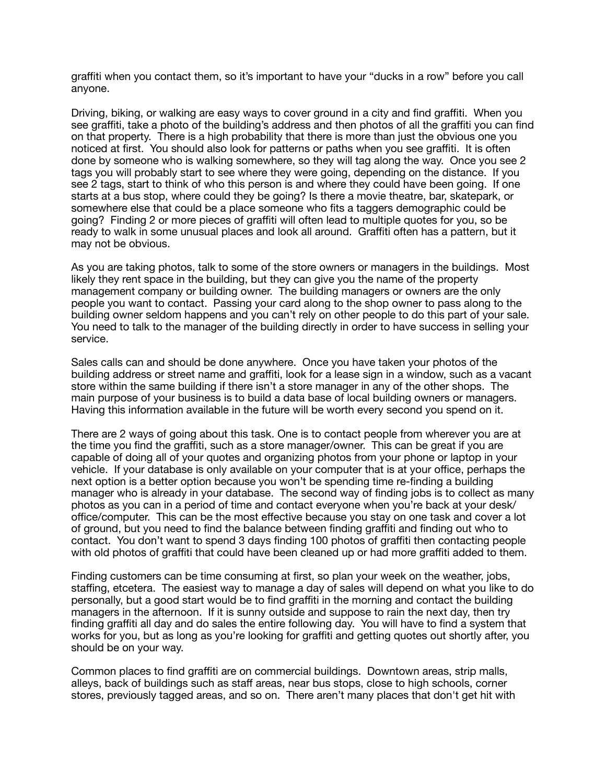graffiti when you contact them, so it's important to have your "ducks in a row" before you call anyone.

Driving, biking, or walking are easy ways to cover ground in a city and find graffiti. When you see graffiti, take a photo of the building's address and then photos of all the graffiti you can find on that property. There is a high probability that there is more than just the obvious one you noticed at first. You should also look for patterns or paths when you see graffiti. It is often done by someone who is walking somewhere, so they will tag along the way. Once you see 2 tags you will probably start to see where they were going, depending on the distance. If you see 2 tags, start to think of who this person is and where they could have been going. If one starts at a bus stop, where could they be going? Is there a movie theatre, bar, skatepark, or somewhere else that could be a place someone who fits a taggers demographic could be going? Finding 2 or more pieces of graffiti will often lead to multiple quotes for you, so be ready to walk in some unusual places and look all around. Graffiti often has a pattern, but it may not be obvious.

As you are taking photos, talk to some of the store owners or managers in the buildings. Most likely they rent space in the building, but they can give you the name of the property management company or building owner. The building managers or owners are the only people you want to contact. Passing your card along to the shop owner to pass along to the building owner seldom happens and you can't rely on other people to do this part of your sale. You need to talk to the manager of the building directly in order to have success in selling your service.

Sales calls can and should be done anywhere. Once you have taken your photos of the building address or street name and graffiti, look for a lease sign in a window, such as a vacant store within the same building if there isn't a store manager in any of the other shops. The main purpose of your business is to build a data base of local building owners or managers. Having this information available in the future will be worth every second you spend on it.

There are 2 ways of going about this task. One is to contact people from wherever you are at the time you find the graffiti, such as a store manager/owner. This can be great if you are capable of doing all of your quotes and organizing photos from your phone or laptop in your vehicle. If your database is only available on your computer that is at your office, perhaps the next option is a better option because you won't be spending time re-finding a building manager who is already in your database. The second way of finding jobs is to collect as many photos as you can in a period of time and contact everyone when you're back at your desk/ office/computer. This can be the most effective because you stay on one task and cover a lot of ground, but you need to find the balance between finding graffiti and finding out who to contact. You don't want to spend 3 days finding 100 photos of graffiti then contacting people with old photos of graffiti that could have been cleaned up or had more graffiti added to them.

Finding customers can be time consuming at first, so plan your week on the weather, jobs, staffing, etcetera. The easiest way to manage a day of sales will depend on what you like to do personally, but a good start would be to find graffiti in the morning and contact the building managers in the afternoon. If it is sunny outside and suppose to rain the next day, then try finding graffiti all day and do sales the entire following day. You will have to find a system that works for you, but as long as you're looking for graffiti and getting quotes out shortly after, you should be on your way.

Common places to find graffiti are on commercial buildings. Downtown areas, strip malls, alleys, back of buildings such as staff areas, near bus stops, close to high schools, corner stores, previously tagged areas, and so on. There aren't many places that don't get hit with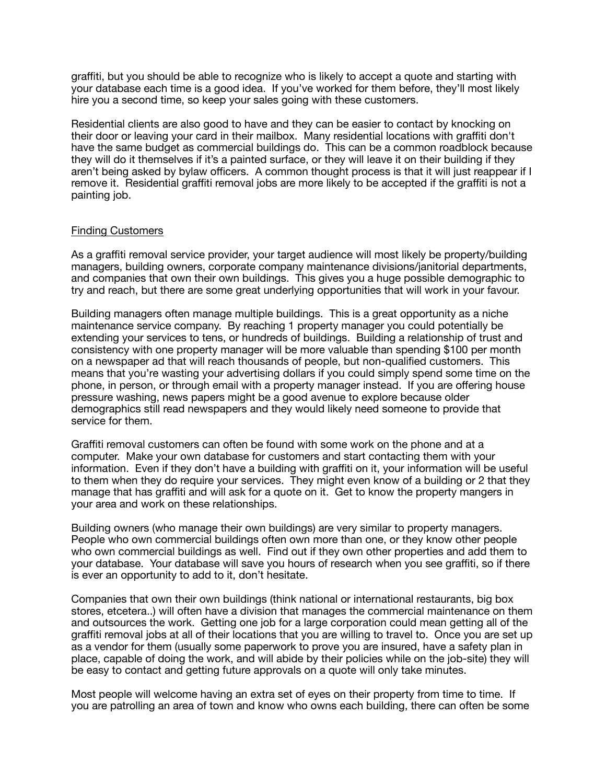graffiti, but you should be able to recognize who is likely to accept a quote and starting with your database each time is a good idea. If you've worked for them before, they'll most likely hire you a second time, so keep your sales going with these customers.

Residential clients are also good to have and they can be easier to contact by knocking on their door or leaving your card in their mailbox. Many residential locations with graffiti don't have the same budget as commercial buildings do. This can be a common roadblock because they will do it themselves if it's a painted surface, or they will leave it on their building if they aren't being asked by bylaw officers. A common thought process is that it will just reappear if I remove it. Residential graffiti removal jobs are more likely to be accepted if the graffiti is not a painting job.

### Finding Customers

As a graffiti removal service provider, your target audience will most likely be property/building managers, building owners, corporate company maintenance divisions/janitorial departments, and companies that own their own buildings. This gives you a huge possible demographic to try and reach, but there are some great underlying opportunities that will work in your favour.

Building managers often manage multiple buildings. This is a great opportunity as a niche maintenance service company. By reaching 1 property manager you could potentially be extending your services to tens, or hundreds of buildings. Building a relationship of trust and consistency with one property manager will be more valuable than spending \$100 per month on a newspaper ad that will reach thousands of people, but non-qualified customers. This means that you're wasting your advertising dollars if you could simply spend some time on the phone, in person, or through email with a property manager instead. If you are offering house pressure washing, news papers might be a good avenue to explore because older demographics still read newspapers and they would likely need someone to provide that service for them.

Graffiti removal customers can often be found with some work on the phone and at a computer. Make your own database for customers and start contacting them with your information. Even if they don't have a building with graffiti on it, your information will be useful to them when they do require your services. They might even know of a building or 2 that they manage that has graffiti and will ask for a quote on it. Get to know the property mangers in your area and work on these relationships.

Building owners (who manage their own buildings) are very similar to property managers. People who own commercial buildings often own more than one, or they know other people who own commercial buildings as well. Find out if they own other properties and add them to your database. Your database will save you hours of research when you see graffiti, so if there is ever an opportunity to add to it, don't hesitate.

Companies that own their own buildings (think national or international restaurants, big box stores, etcetera..) will often have a division that manages the commercial maintenance on them and outsources the work. Getting one job for a large corporation could mean getting all of the graffiti removal jobs at all of their locations that you are willing to travel to. Once you are set up as a vendor for them (usually some paperwork to prove you are insured, have a safety plan in place, capable of doing the work, and will abide by their policies while on the job-site) they will be easy to contact and getting future approvals on a quote will only take minutes.

Most people will welcome having an extra set of eyes on their property from time to time. If you are patrolling an area of town and know who owns each building, there can often be some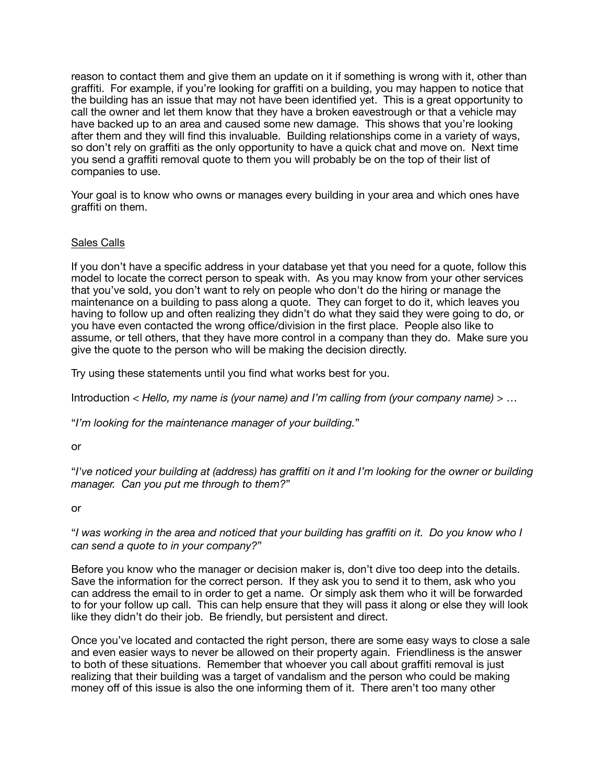reason to contact them and give them an update on it if something is wrong with it, other than graffiti. For example, if you're looking for graffiti on a building, you may happen to notice that the building has an issue that may not have been identified yet. This is a great opportunity to call the owner and let them know that they have a broken eavestrough or that a vehicle may have backed up to an area and caused some new damage. This shows that you're looking after them and they will find this invaluable. Building relationships come in a variety of ways, so don't rely on graffiti as the only opportunity to have a quick chat and move on. Next time you send a graffiti removal quote to them you will probably be on the top of their list of companies to use.

Your goal is to know who owns or manages every building in your area and which ones have graffiti on them.

## Sales Calls

If you don't have a specific address in your database yet that you need for a quote, follow this model to locate the correct person to speak with. As you may know from your other services that you've sold, you don't want to rely on people who don't do the hiring or manage the maintenance on a building to pass along a quote. They can forget to do it, which leaves you having to follow up and often realizing they didn't do what they said they were going to do, or you have even contacted the wrong office/division in the first place. People also like to assume, or tell others, that they have more control in a company than they do. Make sure you give the quote to the person who will be making the decision directly.

Try using these statements until you find what works best for you.

Introduction < *Hello, my name is (your name) and I'm calling from (your company name)* > …

"*I'm looking for the maintenance manager of your building.*"

or

"*I've noticed your building at (address) has graffiti on it and I'm looking for the owner or building manager. Can you put me through to them?*"

#### or

"*I was working in the area and noticed that your building has graffiti on it. Do you know who I can send a quote to in your company?*"

Before you know who the manager or decision maker is, don't dive too deep into the details. Save the information for the correct person. If they ask you to send it to them, ask who you can address the email to in order to get a name. Or simply ask them who it will be forwarded to for your follow up call. This can help ensure that they will pass it along or else they will look like they didn't do their job. Be friendly, but persistent and direct.

Once you've located and contacted the right person, there are some easy ways to close a sale and even easier ways to never be allowed on their property again. Friendliness is the answer to both of these situations. Remember that whoever you call about graffiti removal is just realizing that their building was a target of vandalism and the person who could be making money off of this issue is also the one informing them of it. There aren't too many other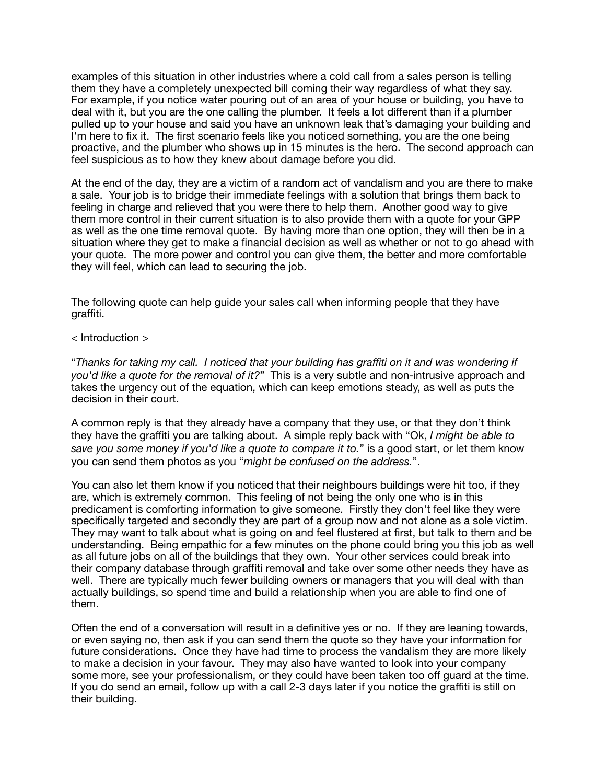examples of this situation in other industries where a cold call from a sales person is telling them they have a completely unexpected bill coming their way regardless of what they say. For example, if you notice water pouring out of an area of your house or building, you have to deal with it, but you are the one calling the plumber. It feels a lot different than if a plumber pulled up to your house and said you have an unknown leak that's damaging your building and I'm here to fix it. The first scenario feels like you noticed something, you are the one being proactive, and the plumber who shows up in 15 minutes is the hero. The second approach can feel suspicious as to how they knew about damage before you did.

At the end of the day, they are a victim of a random act of vandalism and you are there to make a sale. Your job is to bridge their immediate feelings with a solution that brings them back to feeling in charge and relieved that you were there to help them. Another good way to give them more control in their current situation is to also provide them with a quote for your GPP as well as the one time removal quote. By having more than one option, they will then be in a situation where they get to make a financial decision as well as whether or not to go ahead with your quote. The more power and control you can give them, the better and more comfortable they will feel, which can lead to securing the job.

The following quote can help guide your sales call when informing people that they have graffiti.

< Introduction >

"*Thanks for taking my call. I noticed that your building has graffiti on it and was wondering if you'd like a quote for the removal of it?*" This is a very subtle and non-intrusive approach and takes the urgency out of the equation, which can keep emotions steady, as well as puts the decision in their court.

A common reply is that they already have a company that they use, or that they don't think they have the graffiti you are talking about. A simple reply back with "Ok, *I might be able to save you some money if you'd like a quote to compare it to.*" is a good start, or let them know you can send them photos as you "*might be confused on the address.*".

You can also let them know if you noticed that their neighbours buildings were hit too, if they are, which is extremely common. This feeling of not being the only one who is in this predicament is comforting information to give someone. Firstly they don't feel like they were specifically targeted and secondly they are part of a group now and not alone as a sole victim. They may want to talk about what is going on and feel flustered at first, but talk to them and be understanding. Being empathic for a few minutes on the phone could bring you this job as well as all future jobs on all of the buildings that they own. Your other services could break into their company database through graffiti removal and take over some other needs they have as well. There are typically much fewer building owners or managers that you will deal with than actually buildings, so spend time and build a relationship when you are able to find one of them.

Often the end of a conversation will result in a definitive yes or no. If they are leaning towards, or even saying no, then ask if you can send them the quote so they have your information for future considerations. Once they have had time to process the vandalism they are more likely to make a decision in your favour. They may also have wanted to look into your company some more, see your professionalism, or they could have been taken too off guard at the time. If you do send an email, follow up with a call 2-3 days later if you notice the graffiti is still on their building.